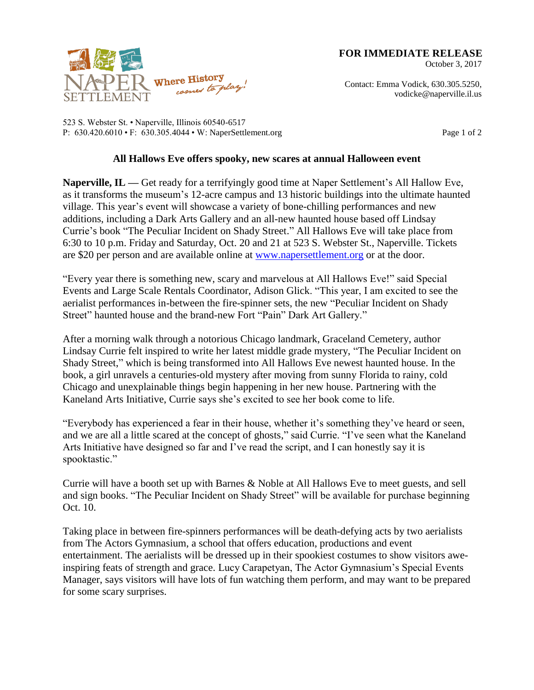**FOR IMMEDIATE RELEASE**

October 3, 2017



523 S. Webster St. • Naperville, Illinois 60540-6517 P: 630.420.6010 • F: 630.305.4044 • W: NaperSettlement.org Page 1 of 2

## **All Hallows Eve offers spooky, new scares at annual Halloween event**

**Naperville, IL —** Get ready for a terrifyingly good time at Naper Settlement's All Hallow Eve, as it transforms the museum's 12-acre campus and 13 historic buildings into the ultimate haunted village. This year's event will showcase a variety of bone-chilling performances and new additions, including a Dark Arts Gallery and an all-new haunted house based off Lindsay Currie's book "The Peculiar Incident on Shady Street." All Hallows Eve will take place from 6:30 to 10 p.m. Friday and Saturday, Oct. 20 and 21 at 523 S. Webster St., Naperville. Tickets are \$20 per person and are available online at [www.napersettlement.org](http://www.napersettlement.org/) or at the door.

"Every year there is something new, scary and marvelous at All Hallows Eve!" said Special Events and Large Scale Rentals Coordinator, Adison Glick. "This year, I am excited to see the aerialist performances in-between the fire-spinner sets, the new "Peculiar Incident on Shady Street" haunted house and the brand-new Fort "Pain" Dark Art Gallery."

After a morning walk through a notorious Chicago landmark, Graceland Cemetery, author Lindsay Currie felt inspired to write her latest middle grade mystery, "The Peculiar Incident on Shady Street," which is being transformed into All Hallows Eve newest haunted house. In the book, a girl unravels a centuries-old mystery after moving from sunny Florida to rainy, cold Chicago and unexplainable things begin happening in her new house. Partnering with the Kaneland Arts Initiative, Currie says she's excited to see her book come to life.

"Everybody has experienced a fear in their house, whether it's something they've heard or seen, and we are all a little scared at the concept of ghosts," said Currie. "I've seen what the Kaneland Arts Initiative have designed so far and I've read the script, and I can honestly say it is spooktastic."

Currie will have a booth set up with Barnes & Noble at All Hallows Eve to meet guests, and sell and sign books. "The Peculiar Incident on Shady Street" will be available for purchase beginning Oct. 10.

Taking place in between fire-spinners performances will be death-defying acts by two aerialists from The Actors Gymnasium, a school that offers education, productions and event entertainment. The aerialists will be dressed up in their spookiest costumes to show visitors aweinspiring feats of strength and grace. Lucy Carapetyan, The Actor Gymnasium's Special Events Manager, says visitors will have lots of fun watching them perform, and may want to be prepared for some scary surprises.